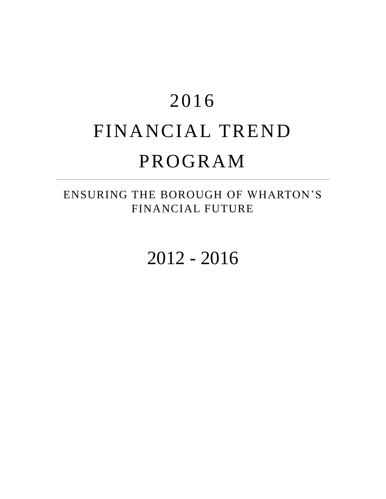# 2016 FINANCIAL TREND PROGRAM

#### ENSURING THE BOROUGH OF WHARTON'S FINANCIAL FUTURE

2012 - 2016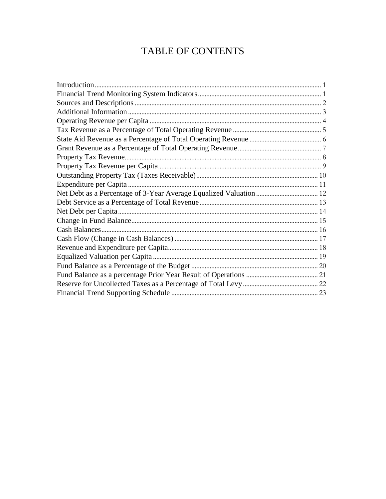#### TABLE OF CONTENTS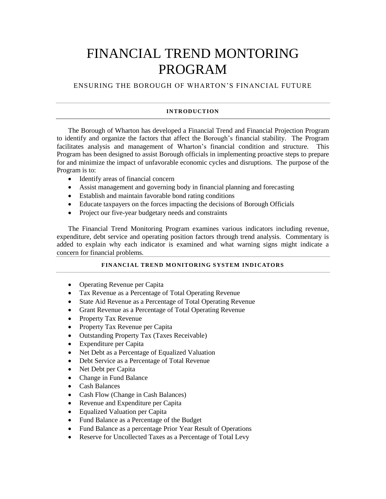### FINANCIAL TREND MONTORING PROGRAM

ENSURING THE BOROUGH OF WHARTON'S FINANCIAL FUTURE

#### **INTRODUCTION**

<span id="page-2-0"></span>The Borough of Wharton has developed a Financial Trend and Financial Projection Program to identify and organize the factors that affect the Borough's financial stability. The Program facilitates analysis and management of Wharton's financial condition and structure. This Program has been designed to assist Borough officials in implementing proactive steps to prepare for and minimize the impact of unfavorable economic cycles and disruptions. The purpose of the Program is to:

- Identify areas of financial concern
- Assist management and governing body in financial planning and forecasting
- Establish and maintain favorable bond rating conditions
- Educate taxpayers on the forces impacting the decisions of Borough Officials
- Project our five-year budgetary needs and constraints

The Financial Trend Monitoring Program examines various indicators including revenue, expenditure, debt service and operating position factors through trend analysis. Commentary is added to explain why each indicator is examined and what warning signs might indicate a concern for financial problems.

#### **FINANCIAL TREND MONITORING SYSTEM INDICATORS**

- <span id="page-2-1"></span>• Operating Revenue per Capita
- Tax Revenue as a Percentage of Total Operating Revenue
- State Aid Revenue as a Percentage of Total Operating Revenue
- Grant Revenue as a Percentage of Total Operating Revenue
- Property Tax Revenue
- Property Tax Revenue per Capita
- Outstanding Property Tax (Taxes Receivable)
- Expenditure per Capita
- Net Debt as a Percentage of Equalized Valuation
- Debt Service as a Percentage of Total Revenue
- Net Debt per Capita
- Change in Fund Balance
- Cash Balances
- Cash Flow (Change in Cash Balances)
- Revenue and Expenditure per Capita
- Equalized Valuation per Capita
- Fund Balance as a Percentage of the Budget
- Fund Balance as a percentage Prior Year Result of Operations
- Reserve for Uncollected Taxes as a Percentage of Total Levy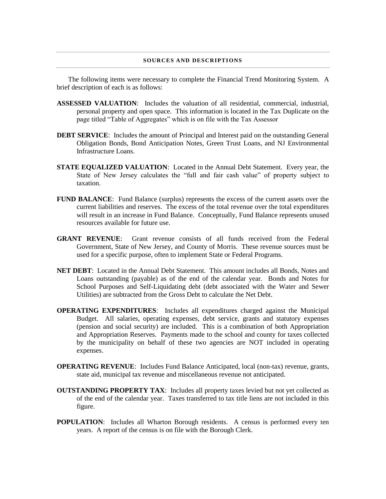#### **SOURCES AND DESCRIPTIONS**

<span id="page-3-0"></span>The following items were necessary to complete the Financial Trend Monitoring System. A brief description of each is as follows:

- **ASSESSED VALUATION**: Includes the valuation of all residential, commercial, industrial, personal property and open space. This information is located in the Tax Duplicate on the page titled "Table of Aggregates" which is on file with the Tax Assessor
- **DEBT SERVICE:** Includes the amount of Principal and Interest paid on the outstanding General Obligation Bonds, Bond Anticipation Notes, Green Trust Loans, and NJ Environmental Infrastructure Loans.
- **STATE EQUALIZED VALUATION**: Located in the Annual Debt Statement. Every year, the State of New Jersey calculates the "full and fair cash value" of property subject to taxation.
- **FUND BALANCE:** Fund Balance (surplus) represents the excess of the current assets over the current liabilities and reserves. The excess of the total revenue over the total expenditures will result in an increase in Fund Balance. Conceptually, Fund Balance represents unused resources available for future use.
- **GRANT REVENUE**: Grant revenue consists of all funds received from the Federal Government, State of New Jersey, and County of Morris. These revenue sources must be used for a specific purpose, often to implement State or Federal Programs.
- **NET DEBT**: Located in the Annual Debt Statement. This amount includes all Bonds, Notes and Loans outstanding (payable) as of the end of the calendar year. Bonds and Notes for School Purposes and Self-Liquidating debt (debt associated with the Water and Sewer Utilities) are subtracted from the Gross Debt to calculate the Net Debt.
- **OPERATING EXPENDITURES**: Includes all expenditures charged against the Municipal Budget. All salaries, operating expenses, debt service, grants and statutory expenses (pension and social security) are included. This is a combination of both Appropriation and Appropriation Reserves. Payments made to the school and county for taxes collected by the municipality on behalf of these two agencies are NOT included in operating expenses.
- **OPERATING REVENUE**: Includes Fund Balance Anticipated, local (non-tax) revenue, grants, state aid, municipal tax revenue and miscellaneous revenue not anticipated.
- **OUTSTANDING PROPERTY TAX**: Includes all property taxes levied but not yet collected as of the end of the calendar year. Taxes transferred to tax title liens are not included in this figure.
- **POPULATION**: Includes all Wharton Borough residents. A census is performed every ten years. A report of the census is on file with the Borough Clerk.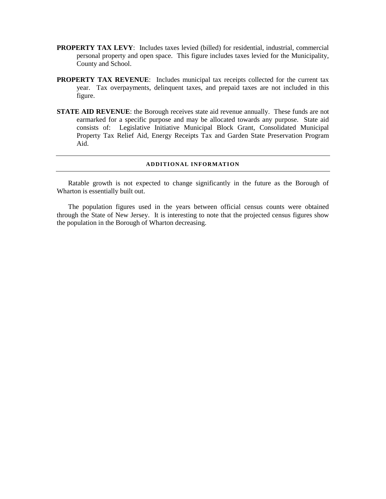- **PROPERTY TAX LEVY:** Includes taxes levied (billed) for residential, industrial, commercial personal property and open space. This figure includes taxes levied for the Municipality, County and School.
- **PROPERTY TAX REVENUE**: Includes municipal tax receipts collected for the current tax year. Tax overpayments, delinquent taxes, and prepaid taxes are not included in this figure.
- **STATE AID REVENUE:** the Borough receives state aid revenue annually. These funds are not earmarked for a specific purpose and may be allocated towards any purpose. State aid consists of: Legislative Initiative Municipal Block Grant, Consolidated Municipal Property Tax Relief Aid, Energy Receipts Tax and Garden State Preservation Program Aid.

#### **ADDITIONAL INFORMATION**

<span id="page-4-0"></span>Ratable growth is not expected to change significantly in the future as the Borough of Wharton is essentially built out.

The population figures used in the years between official census counts were obtained through the State of New Jersey. It is interesting to note that the projected census figures show the population in the Borough of Wharton decreasing.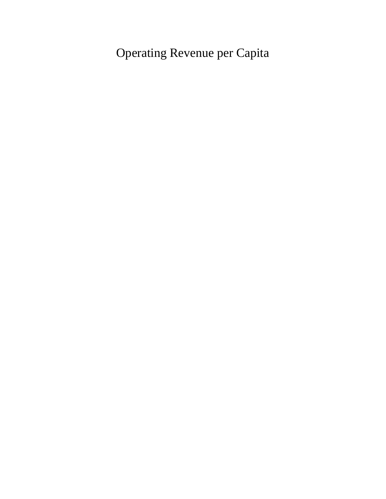<span id="page-5-0"></span>Operating Revenue per Capita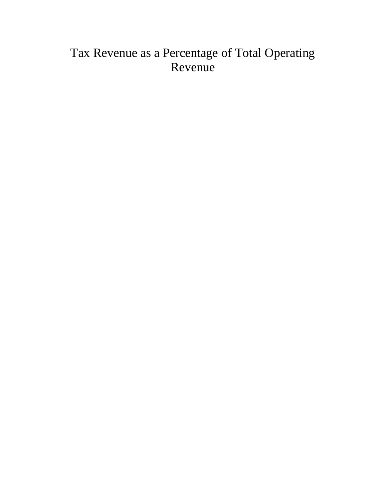### <span id="page-6-0"></span>Tax Revenue as a Percentage of Total Operating Revenue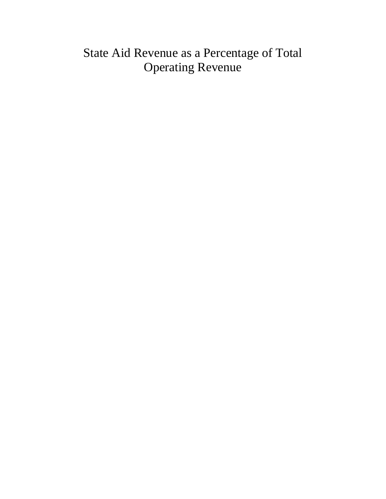#### <span id="page-7-0"></span>State Aid Revenue as a Percentage of Total Operating Revenue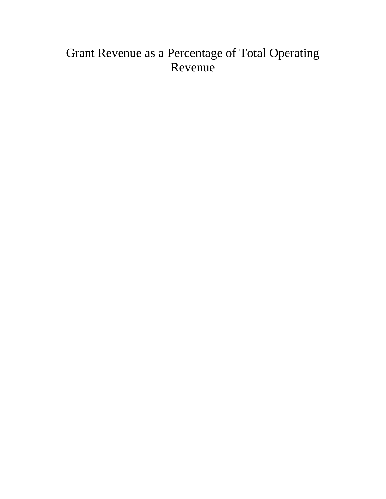### <span id="page-8-0"></span>Grant Revenue as a Percentage of Total Operating Revenue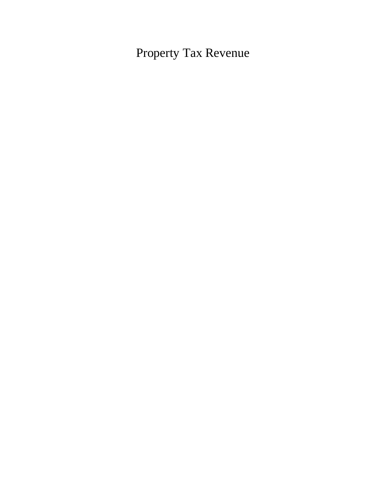<span id="page-9-0"></span>Property Tax Revenue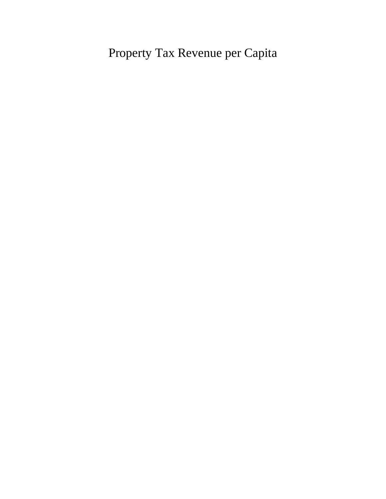<span id="page-10-0"></span>Property Tax Revenue per Capita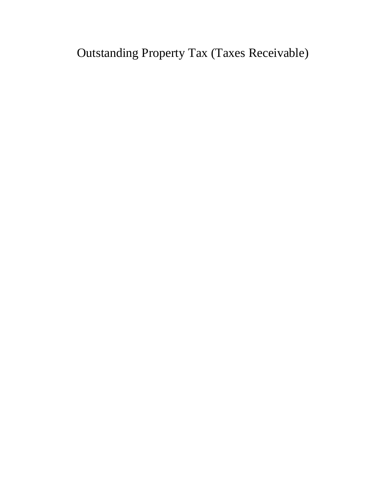<span id="page-11-0"></span>Outstanding Property Tax (Taxes Receivable)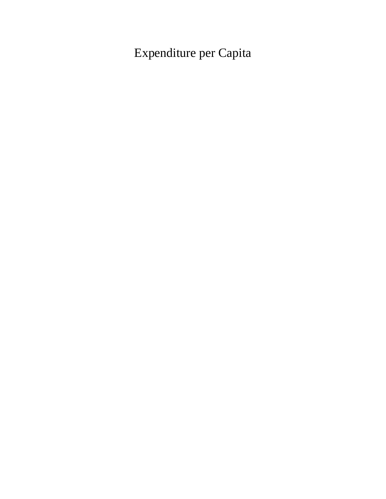<span id="page-12-0"></span>Expenditure per Capita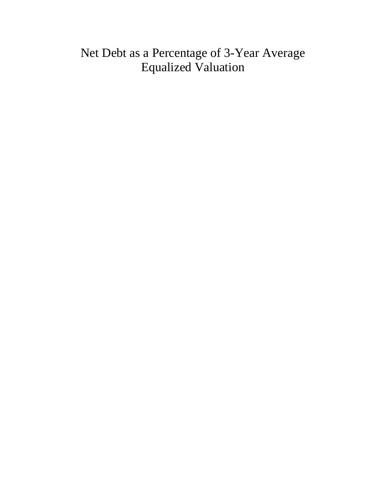#### <span id="page-13-0"></span>Net Debt as a Percentage of 3-Year Average Equalized Valuation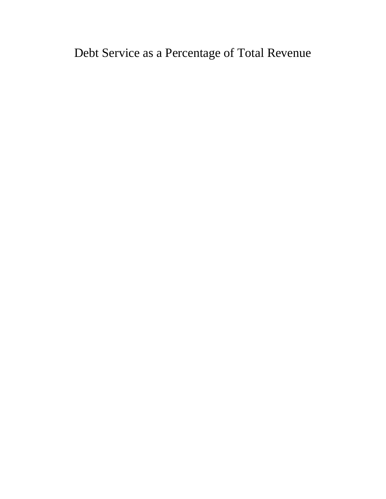<span id="page-14-0"></span>Debt Service as a Percentage of Total Revenue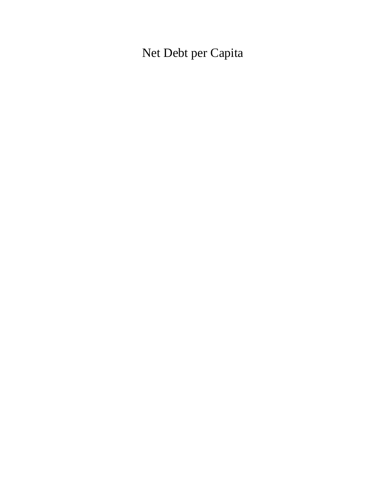<span id="page-15-0"></span>Net Debt per Capita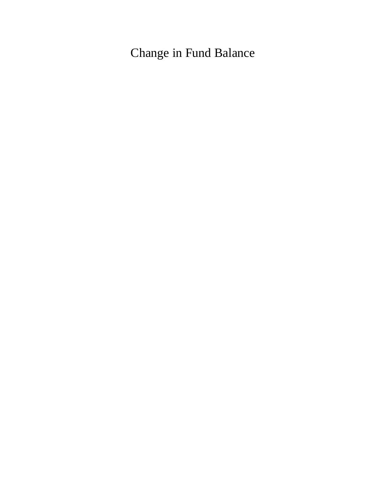<span id="page-16-0"></span>Change in Fund Balance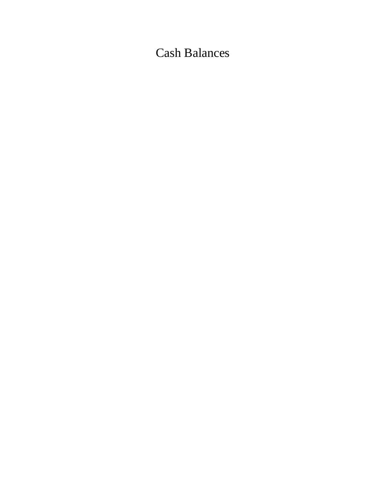<span id="page-17-0"></span>Cash Balances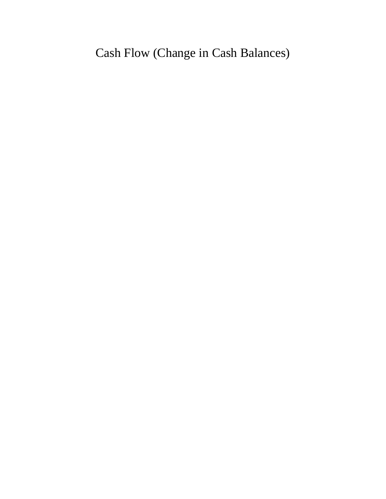<span id="page-18-0"></span>Cash Flow (Change in Cash Balances)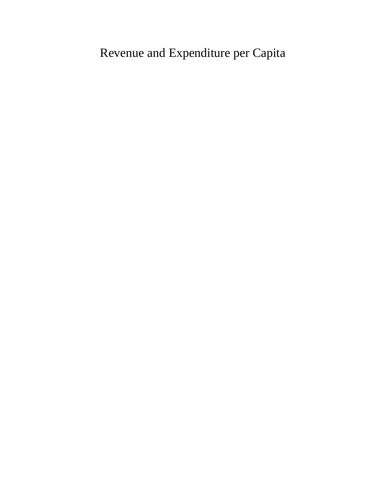<span id="page-19-0"></span>Revenue and Expenditure per Capita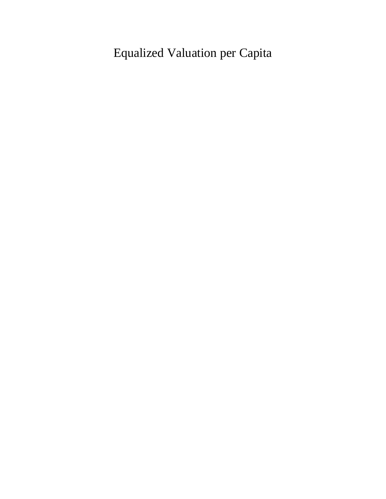<span id="page-20-0"></span>Equalized Valuation per Capita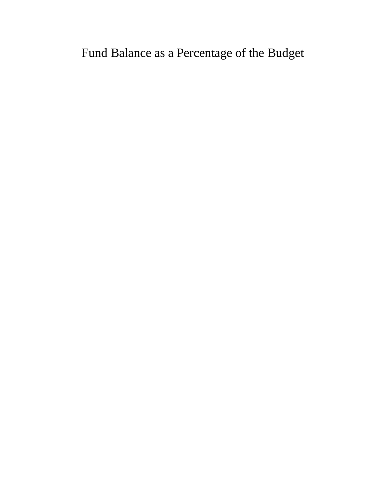<span id="page-21-0"></span>Fund Balance as a Percentage of the Budget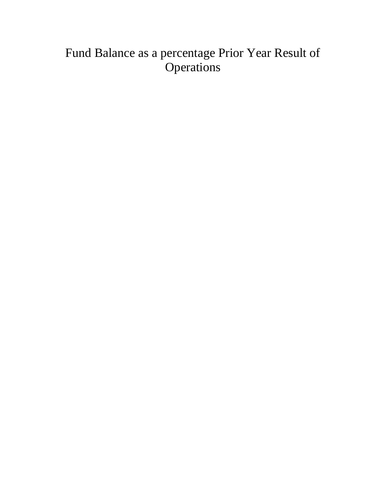### <span id="page-22-0"></span>Fund Balance as a percentage Prior Year Result of **Operations**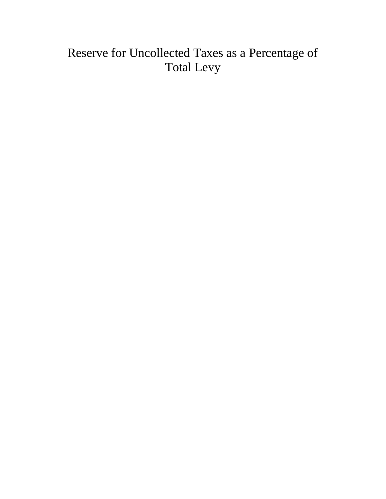### <span id="page-23-0"></span>Reserve for Uncollected Taxes as a Percentage of Total Levy